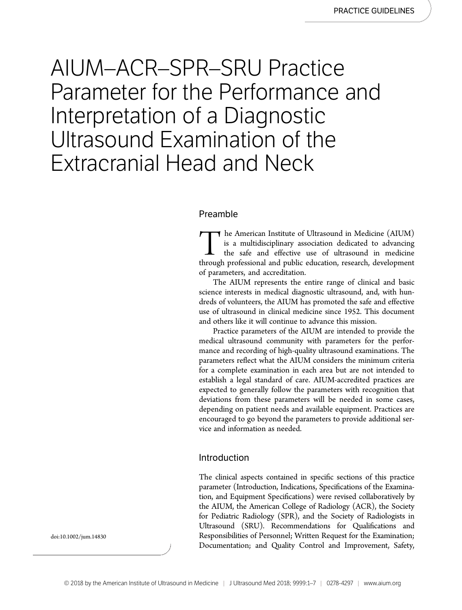# AIUM–ACR–SPR–SRU Practice Parameter for the Performance and Interpretation of a Diagnostic Ultrasound Examination of the Extracranial Head and Neck

## Preamble

The American Institute of Ultrasound in Medicine (AIUM) is a multidisciplinary association dedicated to advancing the safe and effective use of ultrasound in medicine through professional and public education, research, de is a multidisciplinary association dedicated to advancing the safe and effective use of ultrasound in medicine through professional and public education, research, development of parameters, and accreditation.

The AIUM represents the entire range of clinical and basic science interests in medical diagnostic ultrasound, and, with hundreds of volunteers, the AIUM has promoted the safe and effective use of ultrasound in clinical medicine since 1952. This document and others like it will continue to advance this mission.

Practice parameters of the AIUM are intended to provide the medical ultrasound community with parameters for the performance and recording of high-quality ultrasound examinations. The parameters reflect what the AIUM considers the minimum criteria for a complete examination in each area but are not intended to establish a legal standard of care. AIUM-accredited practices are expected to generally follow the parameters with recognition that deviations from these parameters will be needed in some cases, depending on patient needs and available equipment. Practices are encouraged to go beyond the parameters to provide additional service and information as needed.

## Introduction

The clinical aspects contained in specific sections of this practice parameter (Introduction, Indications, Specifications of the Examination, and Equipment Specifications) were revised collaboratively by the AIUM, the American College of Radiology (ACR), the Society for Pediatric Radiology (SPR), and the Society of Radiologists in Ultrasound (SRU). Recommendations for Qualifications and Responsibilities of Personnel; Written Request for the Examination; Documentation; and Quality Control and Improvement, Safety,

doi:10.1002/jum.14830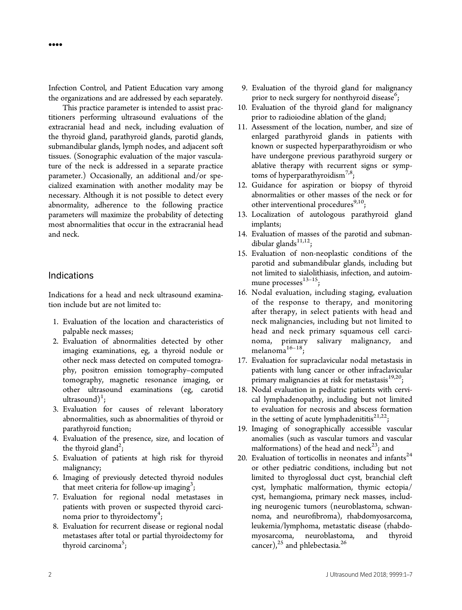Infection Control, and Patient Education vary among the organizations and are addressed by each separately.

This practice parameter is intended to assist practitioners performing ultrasound evaluations of the extracranial head and neck, including evaluation of the thyroid gland, parathyroid glands, parotid glands, submandibular glands, lymph nodes, and adjacent soft tissues. (Sonographic evaluation of the major vasculature of the neck is addressed in a separate practice parameter.) Occasionally, an additional and/or specialized examination with another modality may be necessary. Although it is not possible to detect every abnormality, adherence to the following practice parameters will maximize the probability of detecting most abnormalities that occur in the extracranial head and neck.

## Indications

Indications for a head and neck ultrasound examination include but are not limited to:

- 1. Evaluation of the location and characteristics of palpable neck masses;
- 2. Evaluation of abnormalities detected by other imaging examinations, eg, a thyroid nodule or other neck mass detected on computed tomography, positron emission tomography–computed tomography, magnetic resonance imaging, or other ultrasound examinations (eg, carotid ultrasound $)^{1}$ ;
- 3. Evaluation for causes of relevant laboratory abnormalities, such as abnormalities of thyroid or parathyroid function;
- 4. Evaluation of the presence, size, and location of the thyroid gland<sup>2</sup>;
- 5. Evaluation of patients at high risk for thyroid malignancy;
- 6. Imaging of previously detected thyroid nodules that meet criteria for follow-up imaging<sup>3</sup>;
- 7. Evaluation for regional nodal metastases in patients with proven or suspected thyroid carcinoma prior to thyroidectomy<sup>4</sup>;
- 8. Evaluation for recurrent disease or regional nodal metastases after total or partial thyroidectomy for thyroid carcinoma $^5$ ;
- 9. Evaluation of the thyroid gland for malignancy prior to neck surgery for nonthyroid disease<sup>6</sup>;
- 10. Evaluation of the thyroid gland for malignancy prior to radioiodine ablation of the gland;
- 11. Assessment of the location, number, and size of enlarged parathyroid glands in patients with known or suspected hyperparathyroidism or who have undergone previous parathyroid surgery or ablative therapy with recurrent signs or symptoms of hyperparathyroidism<sup>7,8</sup>;
- 12. Guidance for aspiration or biopsy of thyroid abnormalities or other masses of the neck or for other interventional procedures $9,10$ ;
- 13. Localization of autologous parathyroid gland implants;
- 14. Evaluation of masses of the parotid and submandibular glands $^{11,12}$ ;
- 15. Evaluation of non-neoplastic conditions of the parotid and submandibular glands, including but not limited to sialolithiasis, infection, and autoimmune processes<sup>13–15</sup>;
- 16. Nodal evaluation, including staging, evaluation of the response to therapy, and monitoring after therapy, in select patients with head and neck malignancies, including but not limited to head and neck primary squamous cell carcinoma, primary salivary malignancy, and melanoma16–<sup>18</sup> ;
- 17. Evaluation for supraclavicular nodal metastasis in patients with lung cancer or other infraclavicular primary malignancies at risk for metastasis<sup>19,20</sup>;
- 18. Nodal evaluation in pediatric patients with cervical lymphadenopathy, including but not limited to evaluation for necrosis and abscess formation in the setting of acute lymphadenititis<sup>21,22</sup>;
- 19. Imaging of sonographically accessible vascular anomalies (such as vascular tumors and vascular malformations) of the head and neck<sup>23</sup>; and
- 20. Evaluation of torticollis in neonates and infants<sup>24</sup> or other pediatric conditions, including but not limited to thyroglossal duct cyst, branchial cleft cyst, lymphatic malformation, thymic ectopia/ cyst, hemangioma, primary neck masses, including neurogenic tumors (neuroblastoma, schwannoma, and neurofibroma), rhabdomyosarcoma, leukemia/lymphoma, metastatic disease (rhabdomyosarcoma, neuroblastoma, and thyroid cancer), $^{25}$  and phlebectasia. $^{26}$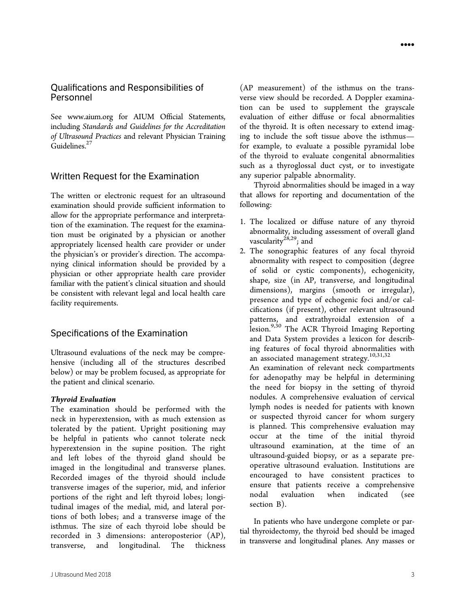# Qualifications and Responsibilities of Personnel

See [www.aium.org](http://www.aium.org) for AIUM Official Statements, including [Standards and Guidelines for the Accreditation](http://www.aium.org/officialStatements/26) [of Ultrasound Practices](http://www.aium.org/officialStatements/26) and relevant Physician Training Guidelines.<sup>27</sup>

# Written Request for the Examination

The written or electronic request for an ultrasound examination should provide sufficient information to allow for the appropriate performance and interpretation of the examination. The request for the examination must be originated by a physician or another appropriately licensed health care provider or under the physician's or provider's direction. The accompanying clinical information should be provided by a physician or other appropriate health care provider familiar with the patient's clinical situation and should be consistent with relevant legal and local health care facility requirements.

# Specifications of the Examination

Ultrasound evaluations of the neck may be comprehensive (including all of the structures described below) or may be problem focused, as appropriate for the patient and clinical scenario.

## Thyroid Evaluation

The examination should be performed with the neck in hyperextension, with as much extension as tolerated by the patient. Upright positioning may be helpful in patients who cannot tolerate neck hyperextension in the supine position. The right and left lobes of the thyroid gland should be imaged in the longitudinal and transverse planes. Recorded images of the thyroid should include transverse images of the superior, mid, and inferior portions of the right and left thyroid lobes; longitudinal images of the medial, mid, and lateral portions of both lobes; and a transverse image of the isthmus. The size of each thyroid lobe should be recorded in 3 dimensions: anteroposterior (AP), transverse, and longitudinal. The thickness

(AP measurement) of the isthmus on the transverse view should be recorded. A Doppler examination can be used to supplement the grayscale evaluation of either diffuse or focal abnormalities of the thyroid. It is often necessary to extend imaging to include the soft tissue above the isthmus for example, to evaluate a possible pyramidal lobe of the thyroid to evaluate congenital abnormalities such as a thyroglossal duct cyst, or to investigate any superior palpable abnormality.

Thyroid abnormalities should be imaged in a way that allows for reporting and documentation of the following:

- 1. The localized or diffuse nature of any thyroid abnormality, including assessment of overall gland vascularity<sup>28,29</sup>; and
- 2. The sonographic features of any focal thyroid abnormality with respect to composition (degree of solid or cystic components), echogenicity, shape, size (in AP, transverse, and longitudinal dimensions), margins (smooth or irregular), presence and type of echogenic foci and/or calcifications (if present), other relevant ultrasound patterns, and extrathyroidal extension of a lesion.9,30 The ACR Thyroid Imaging Reporting and Data System provides a lexicon for describing features of focal thyroid abnormalities with an associated management strategy.<sup>10,31,32</sup>

An examination of relevant neck compartments for adenopathy may be helpful in determining the need for biopsy in the setting of thyroid nodules. A comprehensive evaluation of cervical lymph nodes is needed for patients with known or suspected thyroid cancer for whom surgery is planned. This comprehensive evaluation may occur at the time of the initial thyroid ultrasound examination, at the time of an ultrasound-guided biopsy, or as a separate preoperative ultrasound evaluation. Institutions are encouraged to have consistent practices to ensure that patients receive a comprehensive nodal evaluation when indicated (see section B).

In patients who have undergone complete or partial thyroidectomy, the thyroid bed should be imaged in transverse and longitudinal planes. Any masses or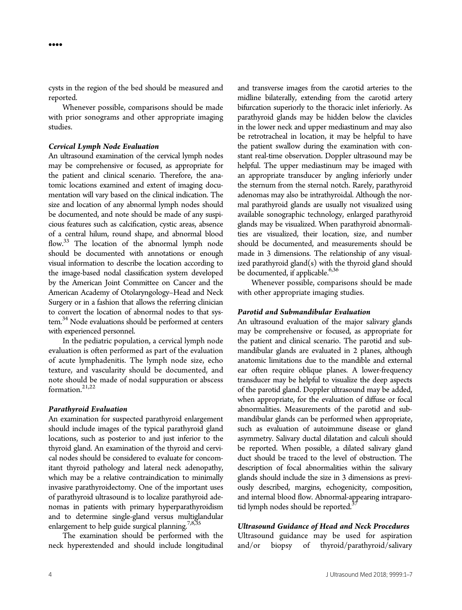cysts in the region of the bed should be measured and reported.

Whenever possible, comparisons should be made with prior sonograms and other appropriate imaging studies.

#### Cervical Lymph Node Evaluation

An ultrasound examination of the cervical lymph nodes may be comprehensive or focused, as appropriate for the patient and clinical scenario. Therefore, the anatomic locations examined and extent of imaging documentation will vary based on the clinical indication. The size and location of any abnormal lymph nodes should be documented, and note should be made of any suspicious features such as calcification, cystic areas, absence of a central hilum, round shape, and abnormal blood flow. <sup>33</sup> The location of the abnormal lymph node should be documented with annotations or enough visual information to describe the location according to the image-based nodal classification system developed by the American Joint Committee on Cancer and the American Academy of Otolaryngology–Head and Neck Surgery or in a fashion that allows the referring clinician to convert the location of abnormal nodes to that system.<sup>34</sup> Node evaluations should be performed at centers with experienced personnel.

In the pediatric population, a cervical lymph node evaluation is often performed as part of the evaluation of acute lymphadenitis. The lymph node size, echo texture, and vascularity should be documented, and note should be made of nodal suppuration or abscess formation $21,22$ 

#### Parathyroid Evaluation

An examination for suspected parathyroid enlargement should include images of the typical parathyroid gland locations, such as posterior to and just inferior to the thyroid gland. An examination of the thyroid and cervical nodes should be considered to evaluate for concomitant thyroid pathology and lateral neck adenopathy, which may be a relative contraindication to minimally invasive parathyroidectomy. One of the important uses of parathyroid ultrasound is to localize parathyroid adenomas in patients with primary hyperparathyroidism and to determine single-gland versus multiglandular enlargement to help guide surgical planning.<sup>7,8,35</sup>

The examination should be performed with the neck hyperextended and should include longitudinal and transverse images from the carotid arteries to the midline bilaterally, extending from the carotid artery bifurcation superiorly to the thoracic inlet inferiorly. As parathyroid glands may be hidden below the clavicles in the lower neck and upper mediastinum and may also be retrotracheal in location, it may be helpful to have the patient swallow during the examination with constant real-time observation. Doppler ultrasound may be helpful. The upper mediastinum may be imaged with an appropriate transducer by angling inferiorly under the sternum from the sternal notch. Rarely, parathyroid adenomas may also be intrathyroidal. Although the normal parathyroid glands are usually not visualized using available sonographic technology, enlarged parathyroid glands may be visualized. When parathyroid abnormalities are visualized, their location, size, and number should be documented, and measurements should be made in 3 dimensions. The relationship of any visualized parathyroid gland $(s)$  with the thyroid gland should be documented, if applicable.<sup>6,36</sup>

Whenever possible, comparisons should be made with other appropriate imaging studies.

#### Parotid and Submandibular Evaluation

An ultrasound evaluation of the major salivary glands may be comprehensive or focused, as appropriate for the patient and clinical scenario. The parotid and submandibular glands are evaluated in 2 planes, although anatomic limitations due to the mandible and external ear often require oblique planes. A lower-frequency transducer may be helpful to visualize the deep aspects of the parotid gland. Doppler ultrasound may be added, when appropriate, for the evaluation of diffuse or focal abnormalities. Measurements of the parotid and submandibular glands can be performed when appropriate, such as evaluation of autoimmune disease or gland asymmetry. Salivary ductal dilatation and calculi should be reported. When possible, a dilated salivary gland duct should be traced to the level of obstruction. The description of focal abnormalities within the salivary glands should include the size in 3 dimensions as previously described, margins, echogenicity, composition, and internal blood flow. Abnormal-appearing intraparotid lymph nodes should be reported. $3<sup>3</sup>$ 

#### Ultrasound Guidance of Head and Neck Procedures

Ultrasound guidance may be used for aspiration and/or biopsy of thyroid/parathyroid/salivary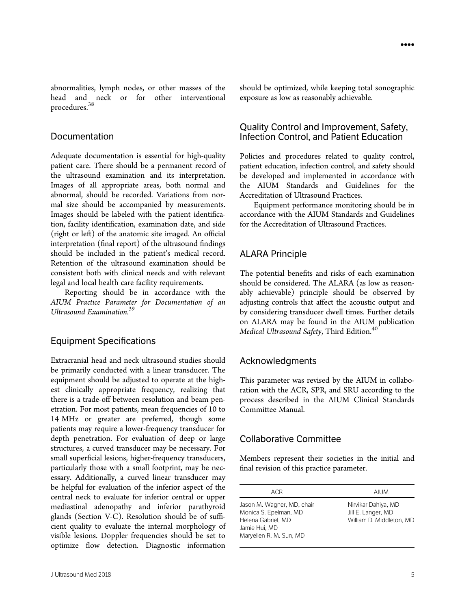abnormalities, lymph nodes, or other masses of the head and neck or for other interventional procedures.<sup>38</sup>

## Documentation

Adequate documentation is essential for high-quality patient care. There should be a permanent record of the ultrasound examination and its interpretation. Images of all appropriate areas, both normal and abnormal, should be recorded. Variations from normal size should be accompanied by measurements. Images should be labeled with the patient identification, facility identification, examination date, and side (right or left) of the anatomic site imaged. An official interpretation (final report) of the ultrasound findings should be included in the patient's medical record. Retention of the ultrasound examination should be consistent both with clinical needs and with relevant legal and local health care facility requirements.

Reporting should be in accordance with the AIUM Practice Parameter for Documentation of an Ultrasound Examination.39

## Equipment Specifications

Extracranial head and neck ultrasound studies should be primarily conducted with a linear transducer. The equipment should be adjusted to operate at the highest clinically appropriate frequency, realizing that there is a trade-off between resolution and beam penetration. For most patients, mean frequencies of 10 to 14 MHz or greater are preferred, though some patients may require a lower-frequency transducer for depth penetration. For evaluation of deep or large structures, a curved transducer may be necessary. For small superficial lesions, higher-frequency transducers, particularly those with a small footprint, may be necessary. Additionally, a curved linear transducer may be helpful for evaluation of the inferior aspect of the central neck to evaluate for inferior central or upper mediastinal adenopathy and inferior parathyroid glands (Section V-C). Resolution should be of sufficient quality to evaluate the internal morphology of visible lesions. Doppler frequencies should be set to optimize flow detection. Diagnostic information should be optimized, while keeping total sonographic exposure as low as reasonably achievable.

## Quality Control and Improvement, Safety, Infection Control, and Patient Education

Policies and procedures related to quality control, patient education, infection control, and safety should be developed and implemented in accordance with the [AIUM Standards and Guidelines for the](http://www.aium.org/officialStatements/26) [Accreditation of Ultrasound Practices.](http://www.aium.org/officialStatements/26)

Equipment performance monitoring should be in accordance with the [AIUM Standards and Guidelines](http://www.aium.org/officialStatements/26) [for the Accreditation of Ultrasound Practices.](http://www.aium.org/officialStatements/26)

## ALARA Principle

The potential benefits and risks of each examination should be considered. The ALARA (as low as reasonably achievable) principle should be observed by adjusting controls that affect the acoustic output and by considering transducer dwell times. Further details on ALARA may be found in the AIUM publication Medical Ultrasound Safety, Third Edition.<sup>40</sup>

#### Acknowledgments

This parameter was revised by the AIUM in collaboration with the ACR, SPR, and SRU according to the process described in the AIUM Clinical Standards Committee Manual.

### Collaborative Committee

Members represent their societies in the initial and final revision of this practice parameter.

|                                                                                                                       | AIUM                                                                  |
|-----------------------------------------------------------------------------------------------------------------------|-----------------------------------------------------------------------|
| ACR                                                                                                                   |                                                                       |
| Jason M. Wagner, MD, chair<br>Monica S. Epelman, MD<br>Helena Gabriel, MD<br>Jamie Hui, MD<br>Maryellen R. M. Sun, MD | Nirvikar Dahiya, MD<br>Jill E. Langer, MD<br>William D. Middleton, MD |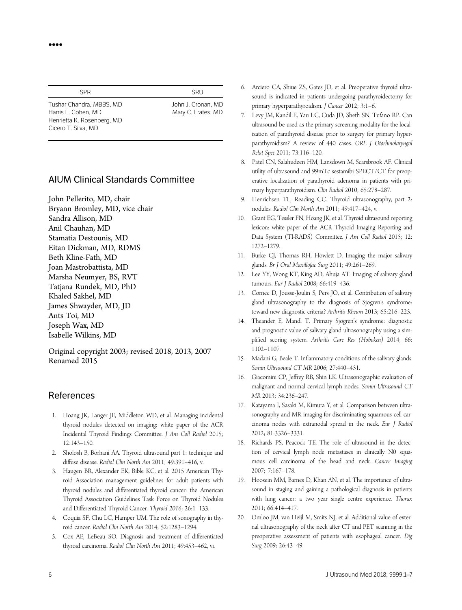| <b>SPR</b>                                                                                           | <b>SRU</b>                               |
|------------------------------------------------------------------------------------------------------|------------------------------------------|
| Tushar Chandra, MBBS, MD<br>Harris L. Cohen, MD<br>Henrietta K. Rosenberg, MD<br>Cicero T. Silva, MD | John J. Cronan, MD<br>Mary C. Frates, MD |

## AIUM Clinical Standards Committee

John Pellerito, MD, chair Bryann Bromley, MD, vice chair Sandra Allison, MD Anil Chauhan, MD Stamatia Destounis, MD Eitan Dickman, MD, RDMS Beth Kline-Fath, MD Joan Mastrobattista, MD Marsha Neumyer, BS, RVT Tatjana Rundek, MD, PhD Khaled Sakhel, MD James Shwayder, MD, JD Ants Toi, MD Joseph Wax, MD Isabelle Wilkins, MD

Original copyright 2003; revised 2018, 2013, 2007 Renamed 2015

# References

- 1. Hoang JK, Langer JE, Middleton WD, et al. Managing incidental thyroid nodules detected on imaging: white paper of the ACR Incidental Thyroid Findings Committee. J Am Coll Radiol 2015; 12:143–150.
- 2. Sholosh B, Borhani AA. Thyroid ultrasound part 1: technique and diffuse disease. Radiol Clin North Am 2011; 49:391–416, v.
- 3. Haugen BR, Alexander EK, Bible KC, et al. 2015 American Thyroid Association management guidelines for adult patients with thyroid nodules and differentiated thyroid cancer: the American Thyroid Association Guidelines Task Force on Thyroid Nodules and Differentiated Thyroid Cancer. Thyroid 2016; 26:1–133.
- 4. Coquia SF, Chu LC, Hamper UM. The role of sonography in thyroid cancer. Radiol Clin North Am 2014; 52:1283–1294.
- 5. Cox AE, LeBeau SO. Diagnosis and treatment of differentiated thyroid carcinoma. Radiol Clin North Am 2011; 49:453–462, vi.
- 6. Arciero CA, Shiue ZS, Gates JD, et al. Preoperative thyroid ultrasound is indicated in patients undergoing parathyroidectomy for primary hyperparathyroidism. J Cancer 2012; 3:1-6.
- 7. Levy JM, Kandil E, Yau LC, Cuda JD, Sheth SN, Tufano RP. Can ultrasound be used as the primary screening modality for the localization of parathyroid disease prior to surgery for primary hyperparathyroidism? A review of 440 cases. ORL J Otorhinolaryngol Relat Spec 2011; 73:116–120.
- 8. Patel CN, Salahudeen HM, Lansdown M, Scarsbrook AF. Clinical utility of ultrasound and 99mTc sestamibi SPECT/CT for preoperative localization of parathyroid adenoma in patients with primary hyperparathyroidism. Clin Radiol 2010; 65:278–287.
- 9. Henrichsen TL, Reading CC. Thyroid ultrasonography, part 2: nodules. Radiol Clin North Am 2011; 49:417–424, v.
- 10. Grant EG, Tessler FN, Hoang JK, et al. Thyroid ultrasound reporting lexicon: white paper of the ACR Thyroid Imaging Reporting and Data System (TI-RADS) Committee. J Am Coll Radiol 2015; 12: 1272–1279.
- 11. Burke CJ, Thomas RH, Howlett D. Imaging the major salivary glands. Br J Oral Maxillofac Surg 2011; 49:261–269.
- 12. Lee YY, Wong KT, King AD, Ahuja AT. Imaging of salivary gland tumours. Eur J Radiol 2008; 66:419–436.
- 13. Cornec D, Jousse-Joulin S, Pers JO, et al. Contribution of salivary gland ultrasonography to the diagnosis of Sjogren's syndrome: toward new diagnostic criteria? Arthritis Rheum 2013; 65:216–225.
- 14. Theander E, Mandl T. Primary Sjogren's syndrome: diagnostic and prognostic value of salivary gland ultrasonography using a simplified scoring system. Arthritis Care Res (Hoboken) 2014; 66: 1102–1107.
- 15. Madani G, Beale T. Inflammatory conditions of the salivary glands. Semin Ultrasound CT MR 2006; 27:440–451.
- 16. Giacomini CP, Jeffrey RB, Shin LK. Ultrasonographic evaluation of malignant and normal cervical lymph nodes. Semin Ultrasound CT MR 2013; 34:236–247.
- 17. Katayama I, Sasaki M, Kimura Y, et al. Comparison between ultrasonography and MR imaging for discriminating squamous cell carcinoma nodes with extranodal spread in the neck. Eur J Radiol 2012; 81:3326–3331.
- 18. Richards PS, Peacock TE. The role of ultrasound in the detection of cervical lymph node metastases in clinically N0 squamous cell carcinoma of the head and neck. Cancer Imaging 2007; 7:167–178.
- 19. Hoosein MM, Barnes D, Khan AN, et al. The importance of ultrasound in staging and gaining a pathological diagnosis in patients with lung cancer: a two year single centre experience. Thorax 2011; 66:414–417.
- 20. Omloo JM, van Heijl M, Smits NJ, et al. Additional value of external ultrasonography of the neck after CT and PET scanning in the preoperative assessment of patients with esophageal cancer. Dig Surg 2009; 26:43–49.